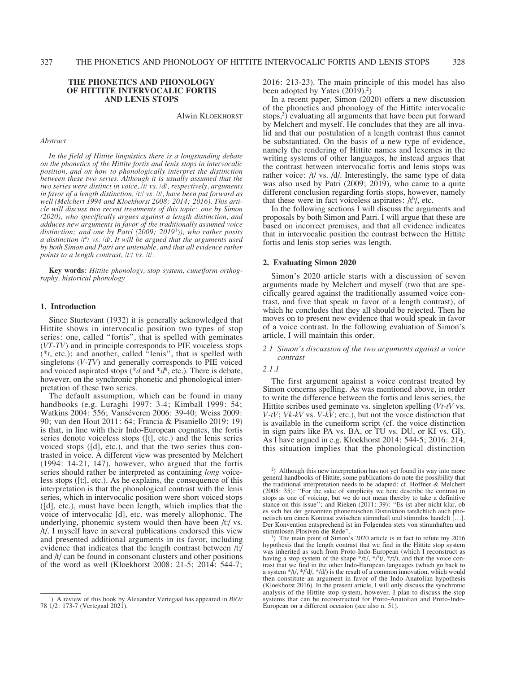# **THE PHONETICS AND PHONOLOGY OF HITTITE INTERVOCALIC FORTIS AND LENIS STOPS**

Alwin Kloekhorst

#### *Abstract*

*In the field of Hittite linguistics there is a longstanding debate on the phonetics of the Hittite fortis and lenis stops in intervocalic position, and on how to phonologically interpret the distinction between these two series. Although it is usually assumed that the two series were distinct in voice, /t/ vs. /d/, respectively, arguments in favor of a length distinction, /tː/ vs. /t/, have been put forward as well (Melchert 1994 and Kloekhorst 2008; 2014; 2016). This article will discuss two recent treatments of this topic: one by Simon (2020), who specifically argues against a length distinction, and adduces new arguments in favor of the traditionally assumed voice distinction; and one by Patri (2009; 2019*1)*), who rather posits a distinction /th / vs. /d/. It will be argued that the arguments used by both Simon and Patri are untenable, and that all evidence rather points to a length contrast, /tː/ vs. /t/.* 

**Key words**: *Hittite phonology, stop system, cuneiform orthography, historical phonology*

## **1. Introduction**

Since Sturtevant (1932) it is generally acknowledged that Hittite shows in intervocalic position two types of stop series: one, called "fortis", that is spelled with geminates (*VT-TV*) and in principle corresponds to PIE voiceless stops (\**t*, etc.); and another, called "lenis", that is spelled with singletons (*V-TV*) and generally corresponds to PIE voiced and voiced aspirated stops ( $*d$  and  $*d<sup>h</sup>$ , etc.). There is debate, however, on the synchronic phonetic and phonological interpretation of these two series.

The default assumption, which can be found in many handbooks (e.g. Luraghi 1997: 3-4; Kimball 1999: 54; Watkins 2004: 556; Vanséveren 2006: 39-40; Weiss 2009: 90; van den Hout 2011: 64; Francia & Pisaniello 2019: 19) is that, in line with their Indo-European cognates, the fortis series denote voiceless stops ([t], etc.) and the lenis series voiced stops ([d], etc.), and that the two series thus contrasted in voice. A different view was presented by Melchert (1994: 14-21, 147), however, who argued that the fortis series should rather be interpreted as containing *long* voiceless stops ([tː], etc.). As he explains, the consequence of this interpretation is that the phonological contrast with the lenis series, which in intervocalic position were short voiced stops ([d], etc.), must have been length, which implies that the voice of intervocalic [d], etc. was merely allophonic. The underlying, phonemic system would then have been /tː/ vs. /t/. I myself have in several publications endorsed this view and presented additional arguments in its favor, including evidence that indicates that the length contrast between /tː/ and /t/ can be found in consonant clusters and other positions of the word as well (Kloekhorst 2008: 21-5; 2014: 544-7;

2016: 213-23). The main principle of this model has also been adopted by Yates (2019).<sup>2</sup>)

In a recent paper, Simon (2020) offers a new discussion of the phonetics and phonology of the Hittite intervocalic stops,<sup>3</sup>) evaluating all arguments that have been put forward by Melchert and myself. He concludes that they are all invalid and that our postulation of a length contrast thus cannot be substantiated. On the basis of a new type of evidence, namely the rendering of Hittite names and lexemes in the writing systems of other languages, he instead argues that the contrast between intervocalic fortis and lenis stops was rather voice: /t/ vs. /d/. Interestingly, the same type of data was also used by Patri (2009; 2019), who came to a quite different conclusion regarding fortis stops, however, namely that these were in fact voiceless aspirates:  $/t<sup>h</sup>/$ , etc.

In the following sections I will discuss the arguments and proposals by both Simon and Patri. I will argue that these are based on incorrect premises, and that all evidence indicates that in intervocalic position the contrast between the Hittite fortis and lenis stop series was length.

# **2. Evaluating Simon 2020**

Simon's 2020 article starts with a discussion of seven arguments made by Melchert and myself (two that are specifically geared against the traditionally assumed voice contrast, and five that speak in favor of a length contrast), of which he concludes that they all should be rejected. Then he moves on to present new evidence that would speak in favor of a voice contrast. In the following evaluation of Simon's article, I will maintain this order.

## *2.1 Simon's discussion of the two arguments against a voice contrast*

#### *2.1.1*

The first argument against a voice contrast treated by Simon concerns spelling. As was mentioned above, in order to write the difference between the fortis and lenis series, the Hittite scribes used geminate vs. singleton spelling (*Vt-tV* vs. *V-tV*; *Vk-kV* vs. *V-kV*; etc.), but not the voice distinction that is available in the cuneiform script (cf. the voice distinction in sign pairs like PA vs. BA, or TU vs. DU, or KI vs. GI). As I have argued in e.g. Kloekhorst 2014: 544-5; 2016: 214, this situation implies that the phonological distinction

<sup>1</sup> ) A review of this book by Alexander Vertegaal has appeared in *BiOr* 78 1/2: 173-7 (Vertegaal 2021).

<sup>2</sup> ) Although this new interpretation has not yet found its way into more general handbooks of Hittite, some publications do note the possibility that the traditional interpretation needs to be adapted: cf. Hoffner & Melchert (2008: 35): "For the sake of simplicity we here describe the contrast in stops as one of voicing, but we do not mean thereby to take a definitive stance on this issue"; and Rieken (2011: 39): "Es ist aber nicht klar, ob es sich bei der genannten phonemischen Distinktion tatsächlich auch phonetisch um einen Kontrast zwischen stimmhaft und stimmlos handelt […]. Der Konvention entsprechend ist im Folgenden stets von stimmhaften und stimmlosen Plosiven die Rede".

 $^{3}$ ) The main point of Simon's 2020 article is in fact to refute my 2016 hypothesis that the length contrast that we find in the Hittite stop system was inherited as such from Proto-Indo-European (which I reconstruct as having a stop system of the shape  $*(t'/, */t')$ ,  $*(t')$ , and that the voice contrast that we find in the other Indo-European languages (which go back to a system  $*(t)$ ,  $*(d)$ ,  $*(d)$  is the result of a common innovation, which would then constitute an argument in favor of the Indo-Anatolian hypothesis (Kloekhorst 2016). In the present article, I will only discuss the synchronic analysis of the Hittite stop system, however. I plan to discuss the stop systems that can be reconstructed for Proto-Anatolian and Proto-Indo-European on a different occasion (see also n. 51).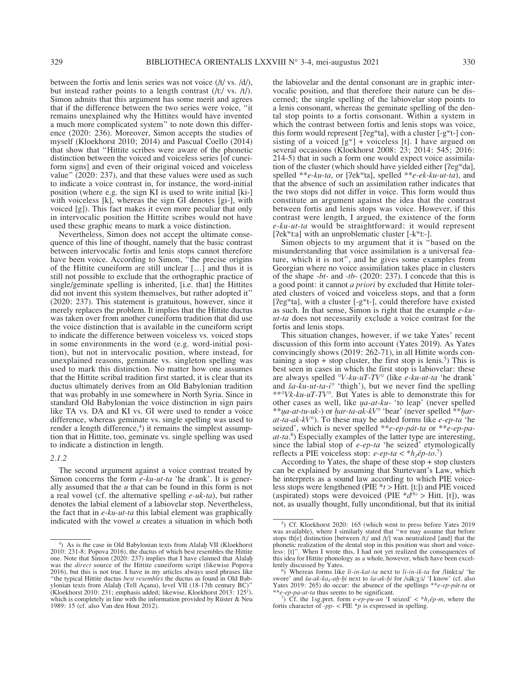between the fortis and lenis series was not voice (/t/ vs. /d/), but instead rather points to a length contrast (/tː/ vs. /t/). Simon admits that this argument has some merit and agrees that if the difference between the two series were voice, "it remains unexplained why the Hittites would have invented a much more complicated system" to note down this difference (2020: 236). Moreover, Simon accepts the studies of myself (Kloekhorst 2010; 2014) and Pascual Coello (2014) that show that "Hittite scribes were aware of the phonetic distinction between the voiced and voiceless series [of cuneiform signs] and even of their original voiced and voiceless value" (2020: 237), and that these values were used as such to indicate a voice contrast in, for instance, the word-initial position (where e.g. the sign KI is used to write initial [ki-] with voiceless [k], whereas the sign GI denotes [gi-], with voiced [g]). This fact makes it even more peculiar that only in intervocalic position the Hittite scribes would not have used these graphic means to mark a voice distinction.

Nevertheless, Simon does not accept the ultimate consequence of this line of thought, namely that the basic contrast between intervocalic fortis and lenis stops cannot therefore have been voice. According to Simon, "the precise origins of the Hittite cuneiform are still unclear […] and thus it is still not possible to exclude that the orthographic practice of single/geminate spelling is inherited, [i.e. that] the Hittites did not invent this system themselves, but rather adopted it" (2020: 237). This statement is gratuitous, however, since it merely replaces the problem. It implies that the Hittite ductus was taken over from another cuneiform tradition that did use the voice distinction that is available in the cuneiform script to indicate the difference between voiceless vs. voiced stops in some environments in the word (e.g. word-initial position), but not in intervocalic position, where instead, for unexplained reasons, geminate vs. singleton spelling was used to mark this distinction. No matter how one assumes that the Hittite scribal tradition first started, it is clear that its ductus ultimately derives from an Old Babylonian tradition that was probably in use somewhere in North Syria. Since in standard Old Babylonian the voice distinction in sign pairs like TA vs. DA and KI vs. GI were used to render a voice difference, whereas geminate vs. single spelling was used to render a length difference,<sup>4</sup>) it remains the simplest assumption that in Hittite, too, geminate vs. single spelling was used to indicate a distinction in length.

#### *2.1.2*

The second argument against a voice contrast treated by Simon concerns the form *e-ku-ut-ta* 'he drank'. It is generally assumed that the *u* that can be found in this form is not a real vowel (cf. the alternative spelling *e-uk-ta*), but rather denotes the labial element of a labiovelar stop. Nevertheless, the fact that in *e-ku-ut-ta* this labial element was graphically indicated with the vowel *u* creates a situation in which both

the labiovelar and the dental consonant are in graphic intervocalic position, and that therefore their nature can be discerned; the single spelling of the labiovelar stop points to a lenis consonant, whereas the geminate spelling of the dental stop points to a fortis consonant. Within a system in which the contrast between fortis and lenis stops was voice, this form would represent [ $2eg$ <sup>w</sup>ta], with a cluster [ $-g$ <sup>w</sup>t-] consisting of a voiced  $[g^w]$  + voiceless [t]. I have argued on several occasions (Kloekhorst 2008: 23; 2014: 545; 2016: 214-5) that in such a form one would expect voice assimilation of the cluster (which should have yielded either [ʔegwda], spelled \*\**e-ku-ta*, or [ʔekwta], spelled \*\**e-ek-ku-ut-ta*), and that the absence of such an assimilation rather indicates that the two stops did not differ in voice. This form would thus constitute an argument against the idea that the contrast between fortis and lenis stops was voice. However, if this contrast were length, I argued, the existence of the form *e-ku-ut-ta* would be straightforward: it would represent [ $\text{7ek}^w$ t:a] with an unproblematic cluster [- $\text{k}^w$ t:-].

Simon objects to my argument that it is "based on the misunderstanding that voice assimilation is a universal feature, which it is not", and he gives some examples from Georgian where no voice assimilation takes place in clusters of the shape *-bt-* and *-tb-* (2020: 237). I concede that this is a good point: it cannot *a priori* by excluded that Hittite tolerated clusters of voiced and voiceless stops, and that a form [?eg<sup>w</sup>ta], with a cluster [-g<sup>w</sup>t-], could therefore have existed as such. In that sense, Simon is right that the example *e-kuut-ta* does not necessarily exclude a voice contrast for the fortis and lenis stops.

This situation changes, however, if we take Yates' recent discussion of this form into account (Yates 2019). As Yates convincingly shows (2019: 262-71), in all Hittite words containing a stop + stop cluster, the first stop is lenis.<sup>5</sup>) This is best seen in cases in which the first stop is labiovelar: these are always spelled *°V-ku-uT-TV°* (like *e-ku-ut-ta* 'he drank' and *ša-ku-ut-ta-i°* 'thigh'), but we never find the spelling \*\**°Vk-ku-uT-TV°*. But Yates is able to demonstrate this for other cases as well, like *ua-at-ku-* 'to leap' (never spelled \*\**ua-at-tu-uk-*) or *ḫar-ta-ak-kV°* 'bear' (never spelled \*\**ḫarat-ta-ak-kV°*). To these may be added forms like *e-ep-ta* 'he seized', which is never spelled \*\**e-ep-pát-ta* or \*\**e-ep-paat-ta*. 6 ) Especially examples of the latter type are interesting, since the labial stop of *e-ep-ta* 'he seized' etymologically reflects a PIE voiceless stop:  $e\text{-}ep\text{-}ta < *h_1\acute{e}p\text{-}to.^7$ 

According to Yates, the shape of these stop + stop clusters can be explained by assuming that Sturtevant's Law, which he interprets as a sound law according to which PIE voiceless stops were lengthened (PIE \**t* > Hitt. [tː]) and PIE voiced (aspirated) stops were devoiced (PIE  $*d<sup>(h)</sup> > H$ itt. [t]), was not, as usually thought, fully unconditional, but that its initial

<sup>&</sup>lt;sup>4</sup>) As is the case in Old Babylonian texts from Alalaḫ VII (Kloekhorst 2010: 231-8; Popova 2016), the ductus of which best resembles the Hittite one. Note that Simon (2020: 237) implies that I have claimed that Alalah was the *direct* source of the Hittite cuneiform script (likewise Popova 2016), but this is not true. I have in my articles always used phrases like "the typical Hittite ductus *best resembles* the ductus as found in Old Babylonian texts from Alalah (Tell Açana), level VII (18-17th century BC)" (Kloekhorst 2010: 231; emphasis added; likewise, Kloekhorst 2013: 1251 ), which is completely in line with the information provided by Rüster & Neu 1989: 15 (cf. also Van den Hout 2012).

<sup>5</sup> ) Cf. Kloekhorst 2020: 165 (which went to press before Yates 2019 was available), where I similarly stated that "we may assume that before stops th[e] distinction [between /t:/ and /t/] was neutralized [and] that the phonetic realization of the dental stop in this position was short and voiceless: [t]". When I wrote this, I had not yet realized the consequences of this idea for Hittite phonology as a whole, however, which have been excellently discussed by Yates.

<sup>&</sup>lt;sup>6</sup>) Whereas forms like *li-in-kat-ta* next to *li-in-ik-ta* for /línktːa/ 'he swore' and *ša-ak-ka<sub>4</sub>-ah-hi* next to *ša-ak-hi* for /sákːχːi/ 'I know' (cf. also Yates 2019: 265) do occur: the absence of the spellings \*\**e-ep-pát-ta* or \*\**e-ep-pa-at-ta* thus seems to be significant.

 $\overrightarrow{CF}$ . the 1sg.pret. form *e-ep-pu-un* 'I seized' < \**h<sub>1</sub>ép-m*, where the fortis character of *-pp-* < PIE  $\ast p$  is expressed in spelling.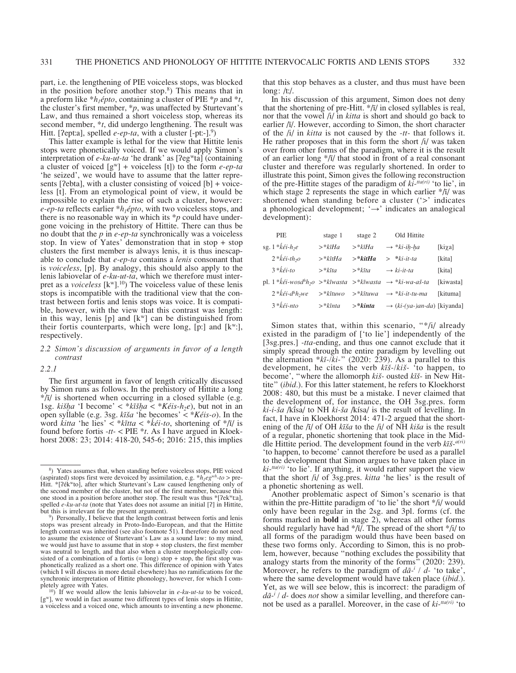part, i.e. the lengthening of PIE voiceless stops, was blocked in the position before another stop. $8$ ) This means that in a preform like  $*h_1épto$ , containing a cluster of PIE  $*p$  and  $*t$ , the cluster's first member, \**p*, was unaffected by Sturtevant's Law, and thus remained a short voiceless stop, whereas its second member, \**t*, did undergo lengthening. The result was Hitt. [?eptːa], spelled *e-ep-ta*, with a cluster [-ptː-].<sup>9</sup>)

This latter example is lethal for the view that Hittite lenis stops were phonetically voiced. If we would apply Simon's interpretation of *e-ku-ut-ta* 'he drank' as [?eg<sup>w</sup>ta] (containing a cluster of voiced [gw] + voiceless [t]) to the form *e-ep-ta* 'he seized', we would have to assume that the latter represents [?ebta], with a cluster consisting of voiced [b] + voiceless [t]. From an etymological point of view, it would be impossible to explain the rise of such a cluster, however: *e-ep-ta* reflects earlier \**h<sub>1</sub>épto*, with two voiceless stops, and there is no reasonable way in which its \**p* could have undergone voicing in the prehistory of Hittite. There can thus be no doubt that the *p* in *e-ep-ta* synchronically was a voiceless stop. In view of Yates' demonstration that in stop + stop clusters the first member is always lenis, it is thus inescapable to conclude that *e-ep-ta* contains a *lenis* consonant that is *voiceless*, [p]. By analogy, this should also apply to the lenis labiovelar of *e-ku-ut-ta*, which we therefore must interpret as a *voiceless*  $[k^w]$ .<sup>10</sup>) The voiceless value of these lenis stops is incompatible with the traditional view that the contrast between fortis and lenis stops was voice. It is compatible, however, with the view that this contrast was length: in this way, lenis  $[p]$  and  $[k^w]$  can be distinguished from their fortis counterparts, which were long, [p:] and  $[k^w]$ , respectively.

# *2.2 Simon's discussion of arguments in favor of a length contrast*

*2.2.1*

The first argument in favor of length critically discussed by Simon runs as follows. In the prehistory of Hittite a long  $*$ /ī/ is shortened when occurring in a closed syllable (e.g. 1sg. *kišha* 'I become' < \**kīšha* < \**Kéis-h<sub>2</sub>e*), but not in an open syllable (e.g. 3sg. *kīša* 'he becomes' < \**Kéis-o*). In the word *kitta* 'he lies' < \**kītta* < \**ḱéi-to*, shortening of \*/ī/ is found before fortis *-tt-* < PIE \**t*. As I have argued in Kloekhorst 2008: 23; 2014: 418-20, 545-6; 2016: 215, this implies

that this stop behaves as a cluster, and thus must have been long: /tː/.

In his discussion of this argument, Simon does not deny that the shortening of pre-Hitt. \*/ī/ in closed syllables is real, nor that the vowel /i/ in *kitta* is short and should go back to earlier /ī/. However, according to Simon, the short character of the /i/ in *kitta* is not caused by the *-tt-* that follows it. He rather proposes that in this form the short /i/ was taken over from other forms of the paradigm, where it is the result of an earlier long \*/ī/ that stood in front of a real consonant cluster and therefore was regularly shortened. In order to illustrate this point, Simon gives the following reconstruction of the pre-Hittite stages of the paradigm of  $ki$ <sup>-tta(ri)</sup> 'to lie', in which stage 2 represents the stage in which earlier  $\frac{k}{l}$  was shortened when standing before a cluster ('>' indicates a phonological development; '→' indicates an analogical development):

| PIE                                                                                                                        | stage 1                  | stage 2                   | Old Hittite                             |           |
|----------------------------------------------------------------------------------------------------------------------------|--------------------------|---------------------------|-----------------------------------------|-----------|
| sg. $1 * k \acute{e}i - h_2 e$                                                                                             | $\rightarrow$ *kīHa      | $\rightarrow *k\bar{i}Ha$ | $\rightarrow *ki-ih-ha$                 | [kiχa]    |
| $2 * k \acute{e}$ i-th <sub>2</sub> 0                                                                                      | $\rightarrow$ *kītHa     | $>$ * $kitHa$             | $>$ *ki-it-ta                           | [kita]    |
| $3 * k \acute{e}i$ -to                                                                                                     | $>$ * $k\bar{t}ta$       | $>$ * $k\bar{t}ta$        | $\rightarrow$ ki-it-ta                  | [kita]    |
| pl. 1 * $k\ell i$ -wosd <sup>h</sup> h <sub>2</sub> o > * $k\bar{\iota}$ wasta > * $k\bar{\iota}$ wasta → * $ki$ -wa-aš-ta |                          |                           |                                         | [kiwasta] |
| $2 * k \acute{e}i$ -d <sup>h</sup> h <sub>2</sub> we                                                                       | $\geq$ * $k\bar{t}$ tuwo | >*kītuwa                  | $\rightarrow *ki-it-tu-ma$              | [kituma]  |
| $3 * k \acute{\epsilon} i$ -nto                                                                                            | $\rightarrow *k\bar{u}$  | $>$ * $kinta$             | $\rightarrow$ (ki-(ya-)an-da) [kiyanda] |           |

Simon states that, within this scenario, "\*/i/ already existed in the paradigm of ['to lie'] independently of the [3sg.pres.] *-tta-*ending, and thus one cannot exclude that it simply spread through the entire paradigm by levelling out the alternation \**kī-/ki-*" (2020: 239). As a parallel to this development, he cites the verb *kīš-/kiš-* 'to happen, to become', "where the allomorph *kiš-* ousted *kīš-* in New Hittite" (*ibid.*). For this latter statement, he refers to Kloekhorst 2008: 480, but this must be a mistake. I never claimed that the development of, for instance, the OH 3sg.pres. form *ki-i-ša* /kīsa/ to NH *ki-ša* /kísa/ is the result of levelling. In fact, I have in Kloekhorst 2014: 471-2 argued that the shortening of the /ī/ of OH *kīša* to the /i/ of NH *kiša* is the result of a regular, phonetic shortening that took place in the Middle Hittite period. The development found in the verb *kīš-a(ri)* 'to happen, to become' cannot therefore be used as a parallel to the development that Simon argues to have taken place in  $ki$ <sup>-tta(ri)</sup> 'to lie'. If anything, it would rather support the view that the short /i/ of 3sg.pres. *kitta* 'he lies' is the result of a phonetic shortening as well.

Another problematic aspect of Simon's scenario is that within the pre-Hittite paradigm of 'to lie' the short \*/i/ would only have been regular in the 2sg. and 3pl. forms (cf. the forms marked in **bold** in stage 2), whereas all other forms should regularly have had  $\frac{k}{l}$ . The spread of the short  $\frac{k}{l}$  to all forms of the paradigm would thus have been based on these two forms only. According to Simon, this is no problem, however, because "nothing excludes the possibility that analogy starts from the minority of the forms" (2020: 239). Moreover, he refers to the paradigm of  $d\bar{a}$ <sup> $\bar{i}$ </sup> /  $d$ - 'to take', where the same development would have taken place (*ibid.*). Yet, as we will see below, this is incorrect: the paradigm of *dā-i / d-* does *not* show a similar levelling, and therefore cannot be used as a parallel. Moreover, in the case of *ki-tta(ri)* 'to

<sup>8</sup> ) Yates assumes that, when standing before voiceless stops, PIE voiced (aspirated) stops first were devoiced by assimilation, e.g.  $*h_1eg^{wh}$ -to > pre-Hitt. \*[?ék<sup>w</sup>to], after which Sturtevant's Law caused lengthening only of the second member of the cluster, but not of the first member, because this one stood in a position before another stop. The result was thus \*[ʔekwtːa], spelled *e-ku-ut-ta* (note that Yates does not assume an initial [?] in Hittite, but this is irrelevant for the present argument).

<sup>)</sup> Personally, I believe that the length contrast between fortis and lenis stops was present already in Proto-Indo-European, and that the Hittite length contrast was inherited (see also footnote 51). I therefore do not need to assume the existence of Sturtevant's Law as a sound law: to my mind, we would just have to assume that in stop + stop clusters, the first member was neutral to length, and that also when a cluster morphologically consisted of a combination of a fortis  $(=$  long) stop  $+$  stop, the first stop was phonetically realized as a short one. This difference of opinion with Yates (which I will discuss in more detail elsewhere) has no ramifications for the synchronic interpretation of Hittite phonology, however, for which I completely agree with Yates.

<sup>&</sup>lt;sup>10</sup>) If we would allow the lenis labiovelar in  $e$ - $ku$ - $ut$ - $ta$  to be voiced,  $[g^{\omega}]$ , we would in fact assume two different types of lenis stops in Hittite, a voiceless and a voiced one, which amounts to inventing a new phoneme.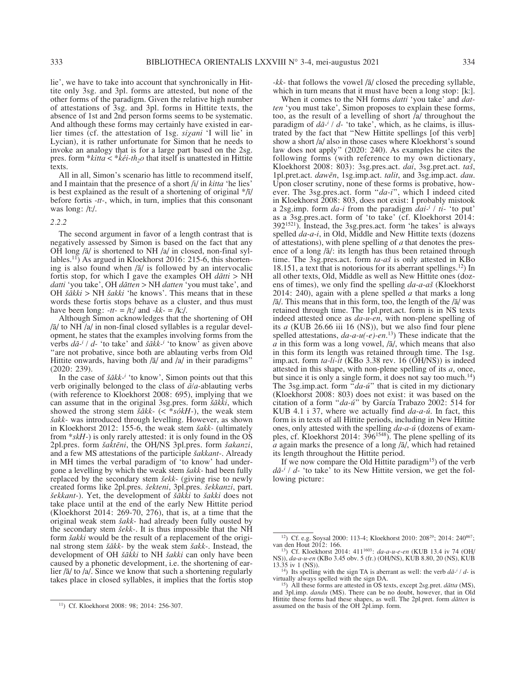lie', we have to take into account that synchronically in Hittite only 3sg. and 3pl. forms are attested, but none of the other forms of the paradigm. Given the relative high number of attestations of 3sg. and 3pl. forms in Hittite texts, the absence of 1st and 2nd person forms seems to be systematic. And although these forms may certainly have existed in earlier times (cf. the attestation of 1sg. *siχani* 'I will lie' in Lycian), it is rather unfortunate for Simon that he needs to invoke an analogy that is for a large part based on the 2sg. pres. form \**kitta* < \**keti-th<sub>2</sub>o* that itself is unattested in Hittite texts.

All in all, Simon's scenario has little to recommend itself, and I maintain that the presence of a short /i/ in *kitta* 'he lies' is best explained as the result of a shortening of original  $\frac{k}{l}$ before fortis *-tt-*, which, in turn, implies that this consonant was long: /tː/.

#### *2.2.2*

The second argument in favor of a length contrast that is negatively assessed by Simon is based on the fact that any OH long /ā/ is shortened to NH /a/ in closed, non-final syllables.<sup>11</sup>) As argued in Kloekhorst 2016: 215-6, this shortening is also found when /ā/ is followed by an intervocalic fortis stop, for which I gave the examples OH *dātti* > NH *datti* 'you take', OH *dātten* > NH *datten* 'you must take', and OH *šākki* > NH *šakki* 'he knows'. This means that in these words these fortis stops behave as a cluster, and thus must have been long:  $-tt - \frac{1}{t}$  and  $-kk - \frac{1}{k}$ .

Although Simon acknowledges that the shortening of OH /ā/ to NH /a/ in non-final closed syllables is a regular development, he states that the examples involving forms from the verbs  $d\bar{a}^{-i}$  /  $d$ - 'to take' and  $\bar{s} \bar{a} k k$ <sup>-*i*</sup> 'to know' as given above "are not probative, since both are ablauting verbs from Old Hittite onwards, having both  $\sqrt{a}$  and  $\sqrt{a}$  in their paradigms" (2020: 239).

In the case of  $\check{s} \check{a} k k$ <sup>*i*</sup> 'to know', Simon points out that this verb originally belonged to the class of *ā/a-*ablauting verbs (with reference to Kloekhorst 2008: 695), implying that we can assume that in the original 3sg.pres. form *šākki*, which showed the strong stem *šākk-* (< \**sókH-*), the weak stem *šakk-* was introduced through levelling. However, as shown in Kloekhorst 2012: 155-6, the weak stem *šakk-* (ultimately from \**skH-*) is only rarely attested: it is only found in the OS 2pl.pres. form *šaktēni*, the OH/NS 3pl.pres. form *šakanzi*, and a few MS attestations of the participle *šakkant-*. Already in MH times the verbal paradigm of 'to know' had undergone a levelling by which the weak stem *šakk-* had been fully replaced by the secondary stem *šekk-* (giving rise to newly created forms like 2pl.pres. *šekteni*, 3pl.pres. *šekkanzi*, part. *šekkant-*). Yet, the development of *šākki* to *šakki* does not take place until at the end of the early New Hittite period (Kloekhorst 2014: 269-70, 276), that is, at a time that the original weak stem *šakk-* had already been fully ousted by the secondary stem *šekk-*. It is thus impossible that the NH form *šakki* would be the result of a replacement of the original strong stem *šākk-* by the weak stem *šakk-*. Instead, the development of OH *šākki* to NH *šakki* can only have been caused by a phonetic development, i.e. the shortening of earlier /ā/ to /a/. Since we know that such a shortening regularly takes place in closed syllables, it implies that the fortis stop

*-kk-* that follows the vowel /ā/ closed the preceding syllable, which in turn means that it must have been a long stop: [k:].

When it comes to the NH forms *datti* 'you take' and *datten* 'you must take', Simon proposes to explain these forms, too, as the result of a levelling of short /a/ throughout the paradigm of  $d\bar{a}$ <sup>2</sup> / d- 'to take', which, as he claims, is illustrated by the fact that "New Hittite spellings [of this verb] show a short /a/ also in those cases where Kloekhorst's sound law does not apply" (2020: 240). As examples he cites the following forms (with reference to my own dictionary, Kloekhorst 2008: 803): 3sg.pres.act. *dai*, 3sg.pret.act. *taš*, 1pl.pret.act. *dawēn*, 1sg.imp.act. *talit*, and 3sg.imp.act. *dau*. Upon closer scrutiny, none of these forms is probative, however. The 3sg.pres.act. form "*da-i*", which I indeed cited in Kloekhorst 2008: 803, does not exist: I probably mistook a 2sg.imp. form *da-i* from the paradigm *dai-i / ti-* 'to put' as a 3sg.pres.act. form of 'to take' (cf. Kloekhorst 2014: 3921521). Instead, the 3sg.pres.act. form 'he takes' is always spelled *da-a-i*, in Old, Middle and New Hittite texts (dozens of attestations), with plene spelling of *a* that denotes the presence of a long /ā/: its length has thus been retained through time. The 3sg.pres.act. form *ta-aš* is only attested in KBo 18.151, a text that is notorious for its aberrant spellings.12) In all other texts, Old, Middle as well as New Hittite ones (dozens of times), we only find the spelling *da-a-aš* (Kloekhorst 2014: 240), again with a plene spelled *a* that marks a long /ā/. This means that in this form, too, the length of the /ā/ was retained through time. The 1pl.pret.act. form is in NS texts indeed attested once as *da-u-en*, with non-plene spelling of its *a* (KUB 26.66 iii 16 (NS)), but we also find four plene spelled attestations, *da-a-u(-e)-en*. 13) These indicate that the  $\overline{a}$  in this form was a long vowel,  $\overline{a}$ , which means that also in this form its length was retained through time. The 1sg. imp.act. form *ta-li-it* (KBo 3.38 rev. 16 (OH/NS)) is indeed attested in this shape, with non-plene spelling of its *a*, once, but since it is only a single form, it does not say too much.<sup>14</sup>) The 3sg.imp.act. form "*da-ú*" that is cited in my dictionary (Kloekhorst 2008: 803) does not exist: it was based on the citation of a form "*da-ú*" by García Trabazo 2002: 514 for KUB 4.1 i 37, where we actually find *da-a-ú*. In fact, this form is in texts of all Hittite periods, including in New Hittite ones, only attested with the spelling *da-a-ú* (dozens of examples, cf. Kloekhorst 2014: 396<sup>1548</sup>). The plene spelling of its *a* again marks the presence of a long /ā/, which had retained its length throughout the Hittite period.

If we now compare the Old Hittite paradigm<sup>15</sup>) of the verb  $d\bar{a}$ <sup>*i*</sup> /  $d$ - 'to take' to its New Hittite version, we get the following picture:

<sup>11)</sup> Cf. Kloekhorst 2008: 98; 2014: 256-307.

<sup>&</sup>lt;sup>12</sup>) Cf. e.g. Soysal 2000: 113-4; Kloekhorst 2010: 208<sup>29</sup>; 2014: 240<sup>867</sup>; van den Hout 2012: 166.

<sup>&</sup>lt;sup>13</sup>) Cf. Kloekhorst 2014: 411<sup>1603</sup>: *da-a-u-e-en* (KUB 13.4 iv 74 (OH/ NS)), *da-a-u-en* (KBo 3.45 obv. 5 (fr.) (OH/NS), KUB 8.80, 20 (NS), KUB

<sup>13.35</sup> iv 1 (NS)). <sup>14</sup>) Its spelling with the sign TA is aberrant as well: the verb  $d\bar{a}$ <sup>-*i*</sup> / *d*- is virtually always spelled with the sign DA. 15) All these forms are attested in OS texts, except 2sg.pret. *dātta* (MS),

and 3pl.imp. *dandu* (MS). There can be no doubt, however, that in Old Hittite these forms had these shapes, as well. The 2pl.pret. form *dātten* is assumed on the basis of the OH 2pl.imp. form.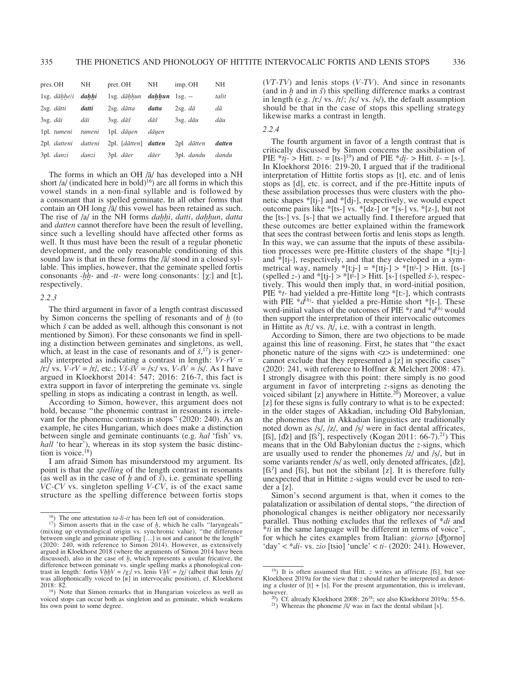| pres. OH                    | NH    | pret. OH                                | NH    | imp. OH             | NΗ          |
|-----------------------------|-------|-----------------------------------------|-------|---------------------|-------------|
| $1$ sg. $d\bar{a}hhe/i$     | dahhi | 1sg. dāhhun <b>dahhun</b> 1sg. --       |       |                     | talit       |
| $2sg.$ dātti                | datti | $2sg.$ dātta                            | datta | $2sg. d\bar{a}$     | dā          |
| $3$ sg. $d\bar{a}$ <i>i</i> | dāi   | $3$ sg. $d\bar{a}$ š                    | dāš   | $3$ sg. $d\bar{a}u$ | $d\bar{a}u$ |
| 1pl. tumeni tumeni          |       | 1pl. dāuen                              | dāuen |                     |             |
| 2pl. datteni datteni        |       | $2pl.$ [d $\bar{a}$ tten] <b>datten</b> |       | $2pl$ dātten        | datten      |
| 3pl. <i>danzi</i>           | danzi | 3pl. dāer                               | dāer  | 3pl. dandu          | dandu       |

The forms in which an OH /ā/ has developed into a NH short  $\int a / \left( \text{indicated here in bold} \right)^{16}$  are all forms in which this vowel stands in a non-final syllable and is followed by a consonant that is spelled geminate. In all other forms that contain an OH long /ā/ this vowel has been retained as such. The rise of /a/ in the NH forms *daḫḫi*, *datti*, *daḫḫun*, *datta* and *datten* cannot therefore have been the result of levelling, since such a levelling should have affected other forms as well. It thus must have been the result of a regular phonetic development, and the only reasonable conditioning of this sound law is that in these forms the /ā/ stood in a closed syllable. This implies, however, that the geminate spelled fortis consonants *-ḫḫ-* and *-tt-* were long consonants: [χː] and [tː], respectively.

## *2.2.3*

The third argument in favor of a length contrast discussed by Simon concerns the spelling of resonants and of *ḫ* (to which *š* can be added as well, although this consonant is not mentioned by Simon). For these consonants we find in spelling a distinction between geminates and singletons, as well, which, at least in the case of resonants and of  $\check{s}$ ,<sup>17</sup>) is generally interpreted as indicating a contrast in length: *Vr-rV* = /rː/ vs. *V-rV* = /r/, etc.; *Vš-šV* = /sː/ vs. *V-šV* = /s/. As I have argued in Kloekhorst 2014: 547; 2016: 216-7, this fact is extra support in favor of interpreting the geminate vs. single spelling in stops as indicating a contrast in length, as well.

According to Simon, however, this argument does not hold, because "the phonemic contrast in resonants is irrelevant for the phonemic contrasts in stops" (2020: 240). As an example, he cites Hungarian, which does make a distinction between single and geminate continuants (e.g. *hal* 'fish' vs. *hall* 'to hear'), whereas in its stop system the basic distinction is voice. $18$ )

I am afraid Simon has misunderstood my argument. Its point is that the *spelling* of the length contrast in resonants (as well as in the case of *ḫ* and of *š*), i.e. geminate spelling *VC-CV* vs. singleton spelling *V-CV*, is of the exact same structure as the spelling difference between fortis stops (*VT-TV*) and lenis stops (*V-TV*). And since in resonants (and in *ḫ* and in *š*) this spelling difference marks a contrast in length (e.g. /rː/ vs. /r/; /sː/ vs. /s/), the default assumption should be that in the case of stops this spelling strategy likewise marks a contrast in length.

# *2.2.4*

The fourth argument in favor of a length contrast that is critically discussed by Simon concerns the assibilation of PIE  $*_{t}i_{t}$  > Hitt. *z*- = [ts-]<sup>19</sup>) and of PIE  $*_{d}i_{t}$  > Hitt. *š*- = [s-]. In Kloekhorst 2016: 219-20, I argued that if the traditional interpretation of Hittite fortis stops as [t], etc. and of lenis stops as [d], etc. is correct, and if the pre-Hittite inputs of these assibilation processes thus were clusters with the phonetic shapes \*[tj-] and \*[dj-], respectively, we would expect outcome pairs like \*[ts-] vs. \*[dz-] or \*[s-] vs. \*[z-], but not the [ts-] vs. [s-] that we actually find. I therefore argued that these outcomes are better explained within the framework that sees the contrast between fortis and lenis stops as length. In this way, we can assume that the inputs of these assibilation processes were pre-Hittite clusters of the shape \*[tːj-] and  $*$ [tj-], respectively, and that they developed in a symmetrical way, namely  $*[t:j-] = *[t t j-] > *[t t^j-] > Hit.$  [ts-] (spelled *z*-) and  $*(tj-) > *[t^j] > Hit.$  [s-] (spelled *š*-), respectively. This would then imply that, in word-initial position, PIE \**t-* had yielded a pre-Hittite long \*[tː-], which contrasts with PIE  $*d<sup>(h)</sup>$ - that yielded a pre-Hittite short  $*$ [t-]. These word-initial values of the outcomes of PIE \**t* and \**d(h)* would then support the interpretation of their intervocalic outcomes in Hittite as  $/t$ :/ vs.  $/t$ , i.e. with a contrast in length.

According to Simon, there are two objections to be made against this line of reasoning. First, he states that "the exact phonetic nature of the signs with <z> is undetermined: one cannot exclude that they represented a [z] in specific cases" (2020: 241, with reference to Hoffner & Melchert 2008: 47). I strongly disagree with this point: there simply is no good argument in favor of interpreting *z-*signs as denoting the voiced sibilant [z] anywhere in Hittite.<sup>20</sup>) Moreover, a value [z] for these signs is fully contrary to what is to be expected: in the older stages of Akkadian, including Old Babylonian, the phonemes that in Akkadian linguistics are traditionally noted down as /s/, /z/, and /ṣ/ were in fact dental affricates, [t͡s], [d͡z] and [t͡s<sup>2</sup>], respectively (Kogan 2011: 66-7).<sup>21</sup>) This means that in the Old Babylonian ductus the *z-*signs, which are usually used to render the phonemes /z/ and /ṣ/, but in some variants render /s/ as well, only denoted affricates, [d͡z],  $[\text{fs}^2]$  and  $[\text{fs}]$ , but not the sibilant  $[z]$ . It is therefore fully unexpected that in Hittite *z-*signs would ever be used to render a [z].

Simon's second argument is that, when it comes to the palatalization or assibilation of dental stops, "the direction of phonological changes is neither obligatory nor necessarily parallel. Thus nothing excludes that the reflexes of \**di* and \**ti* in the same language will be different in terms of voice", for which he cites examples from Italian: *giorno* [d͡ʒorno] 'day' < \**di-* vs. *zio* [tsio] 'uncle' < *ti-* (2020: 241). However,

<sup>&</sup>lt;sup>16</sup>) The one attestation *ta-li-it* has been left out of consideration. <sup>17</sup>) Simon asserts that in the case of *, which he calls "laryngeals"* (mixing up etymological origin vs. synchronic value), "the difference between single and geminate spelling […] is not and cannot be the length" (2020: 240, with reference to Simon 2014). However, as extensively argued in Kloekhorst 2018 (where the arguments of Simon 2014 have been discussed), also in the case of *ḫ*, which represents a uvular fricative, the difference between geminate vs. single spelling marks a phonological contrast in length: fortis  $Vh hV = \gamma \chi / \text{vs.}$  lenis  $V h V = \gamma \chi / \text{ (albeit that lens } / \chi / \text{)}$ was allophonically voiced to [ʁ] in intervocalic position), cf. Kloekhorst 2018: 82.<br><sup>18</sup>) Note that Simon remarks that in Hungarian voiceless as well as

voiced stops can occur both as singleton and as geminate, which weakens his own point to some degree.

<sup>&</sup>lt;sup>19</sup>) It is often assumed that Hitt. *z* writes an affricate [ts], but see Kloekhorst 2019a for the view that *z* should rather be interpreted as denoting a cluster of [t] + [s]. For the present argumentation, this is irrelevant, however. <sup>20</sup>) Cf. already Kloekhorst 2008: 26<sup>38</sup>; see also Kloekhorst 2019a: 55-6. <sup>21</sup>) Whereas the phoneme /š/ was in fact the dental sibilant [s].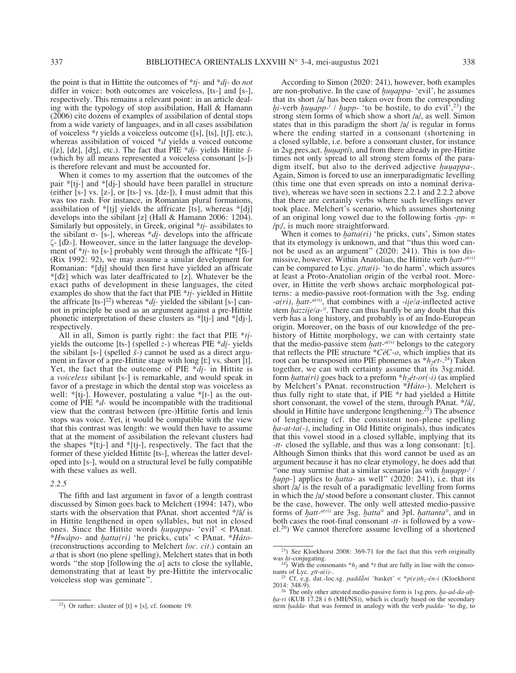the point is that in Hittite the outcomes of \**ti-* and \**di-* do *not* differ in voice: both outcomes are voiceless, [ts-] and [s-], respectively. This remains a relevant point: in an article dealing with the typology of stop assibilation, Hall & Hamann (2006) cite dozens of examples of assibilation of dental stops from a wide variety of languages, and in all cases assibilation of voiceless \**t* yields a voiceless outcome ([s], [ts], [tʃ], etc.), whereas assibilation of voiced \**d* yields a voiced outcome ([z], [dz], [dʒ], etc.). The fact that PIE \**di-* yields Hittite *š-* (which by all means represented a voiceless consonant [s-]) is therefore relevant and must be accounted for.

When it comes to my assertion that the outcomes of the pair \*[tj-] and \*[dj-] should have been parallel in structure (either [s-] vs. [z-], or [ts-] vs. [dz-]), I must admit that this was too rash. For instance, in Romanian plural formations, assibilation of  $*[t_j]$  yields the affricate [ts], whereas  $*[d_j]$ develops into the sibilant [z] (Hall & Hamann 2006: 1204). Similarly but oppositely, in Greek, original \**ti-* assibilates to the sibilant σ- [s-], whereas  $*di$ - develops into the affricate ζ- [d͡z-]. Howeover, since in the latter language the development of \**ti*- to [s-] probably went through the affricate \*[t͡s-] (Rix 1992: 92), we may assume a similar development for Romanian: \*[dj] should then first have yielded an affricate \*[d͡z] which was later deaffricated to [z]. Whatever be the exact paths of development in these languages, the cited examples do show that the fact that PIE \**ti-* yielded in Hittite the affricate  $[ts-]^{22}$ ) whereas \**di*<sub>*-*</sub> yielded the sibilant  $[s-]$  cannot in principle be used as an argument against a pre-Hittite phonetic interpretation of these clusters as \*[tj-] and \*[dj-], respectively.

All in all, Simon is partly right: the fact that PIE \**ti*yields the outcome [ts-] (spelled *z-*) whereas PIE \**di-* yields the sibilant [s-] (spelled *š-*) cannot be used as a direct argument in favor of a pre-Hittite stage with long [tː] vs. short [t]. Yet, the fact that the outcome of PIE \**di-* in Hittite is a *voiceless* sibilant [s-] is remarkable, and would speak in favor of a prestage in which the dental stop was voiceless as well:  $*[t]$ -]. However, postulating a value  $*[t]$  as the outcome of PIE \**d-* would be incompatible with the traditional view that the contrast between (pre-)Hittite fortis and lenis stops was voice. Yet, it would be compatible with the view that this contrast was length: we would then have to assume that at the moment of assibilation the relevant clusters had the shapes \*[tːj-] and \*[tj-], respectively. The fact that the former of these yielded Hittite [ts-], whereas the latter developed into [s-], would on a structural level be fully compatible with these values as well.

## *2.2.5*

The fifth and last argument in favor of a length contrast discussed by Simon goes back to Melchert (1994: 147), who starts with the observation that PAnat. short accented \*/á/ is in Hittite lengthened in open syllables, but not in closed ones. Since the Hittite words *ḫuuappa-* 'evil' < PAnat. \**Hwápo-* and *ḫatta(ri)* 'he pricks, cuts' < PAnat. \**Háto-* (reconstructions according to Melchert *loc. cit.*) contain an *a* that is short (no plene spelling), Melchert states that in both words "the stop [following the *a*] acts to close the syllable, demonstrating that at least by pre-Hittite the intervocalic voiceless stop was geminate".

According to Simon (2020: 241), however, both examples are non-probative. In the case of *ḫuuappa-* 'evil', he assumes that its short /a/ has been taken over from the corresponding *hi*-verb *huuapp-<sup>i</sup>* / *hupp-* 'to be hostile, to do evil',<sup>23</sup>) the strong stem forms of which show a short /a/, as well. Simon states that in this paradigm the short /a/ is regular in forms where the ending started in a consonant (shortening in a closed syllable, i.e. before a consonant cluster, for instance in 2sg.pres.act. *ḫuuapti*), and from there already in pre-Hittite times not only spread to all strong stem forms of the paradigm itself, but also to the derived adjective *ḫuuappa-*. Again, Simon is forced to use an innerparadigmatic levelling (this time one that even spreads on into a nominal derivative), whereas we have seen in sections 2.2.1 and 2.2.2 above that there are certainly verbs where such levellings never took place. Melchert's scenario, which assumes shortening of an original long vowel due to the following fortis *-pp-* = /pː/, is much more straightforward.

When it comes to *hatta(ri)* 'he pricks, cuts', Simon states that its etymology is unknown, and that "thus this word cannot be used as an argument" (2020: 241). This is too dismissive, however. Within Anatolian, the Hittite verb *ḫatt-a(ri)* can be compared to Lyc. *χtta(i)-* 'to do harm', which assures at least a Proto-Anatolian origin of the verbal root. Moreover, in Hittite the verb shows archaic morphological patterns: a medio-passive root-formation with the 3sg. ending *-a(ri)*, *ḫatt-a(ri)*, that combines with a -*iie/a-*inflected active stem *ḫazziie/a-zi*. There can thus hardly be any doubt that this verb has a long history, and probably is of an Indo-European origin. Moreover, on the basis of our knowledge of the prehistory of Hittite morphology, we can with certainty state that the medio-passive stem  $hat<sub>atr</sub><sup>a(ri)</sup>$  belongs to the category that reflects the PIE structure \**CéC-o*, which implies that its root can be transposed into PIE phonemes as  $*h_2et$ <sup>24</sup>) Taken together, we can with certainty assume that its 3sg.midd. form *hatta(ri)* goes back to a preform  $*h_2\acute{e}t$ -or(-i) (as implied by Melchert's PAnat. reconstruction \**Háto-*). Melchert is thus fully right to state that, if PIE \**t* had yielded a Hittite short consonant, the vowel of the stem, through PAnat. \*/á/, should in Hittite have undergone lengthening.<sup>25</sup>) The absence of lengthening (cf. the consistent non-plene spelling *ha-at-ta(-)*, including in Old Hittite originals), thus indicates that this vowel stood in a closed syllable, implying that its *-tt-* closed the syllable, and thus was a long consonant: [tː]. Although Simon thinks that this word cannot be used as an argument because it has no clear etymology, he does add that "one may surmise that a similar scenario [as with *ḫuuapp-i / hupp-*] applies to *hatta-* as well" (2020: 241), i.e. that its short /a/ is the result of a paradigmatic levelling from forms in which the /a/ stood before a consonant cluster. This cannot be the case, however. The only well attested medio-passive forms of *ḫatt-a(ri)* are 3sg. *ḫatta°* and 3pl. *ḫattanta°*, and in both cases the root-final consonant *-tt-* is followed by a vowel.26) We cannot therefore assume levelling of a shortened

<sup>&</sup>lt;sup>22</sup>) Or rather: cluster of  $[t] + [s]$ , cf. footnote 19.

<sup>23)</sup> See Kloekhorst 2008: 369-71 for the fact that this verb originally was *hi*-conjugating.<br><sup>24</sup>) With the consonants  $*h_2$  and  $*t$  that are fully in line with the conso-

nants of Lyc. *χtt-a(i)-*. <sup>25</sup> Cf. e.g. dat.-loc.sg. *padda*<sup>*ni*</sup> 'basket' < \**p(e)th<sub>2</sub>-én-i* (Kloekhorst 2014: 348-9).

The only other attested medio-passive form is 1sg.pres. *ha-ad-da-ah*ha-ri (KUB 17.28 i 6 (MH/NS)), which is clearly based on the secondary stem *ḫadda-* that was formed in analogy with the verb *padda-* 'to dig, to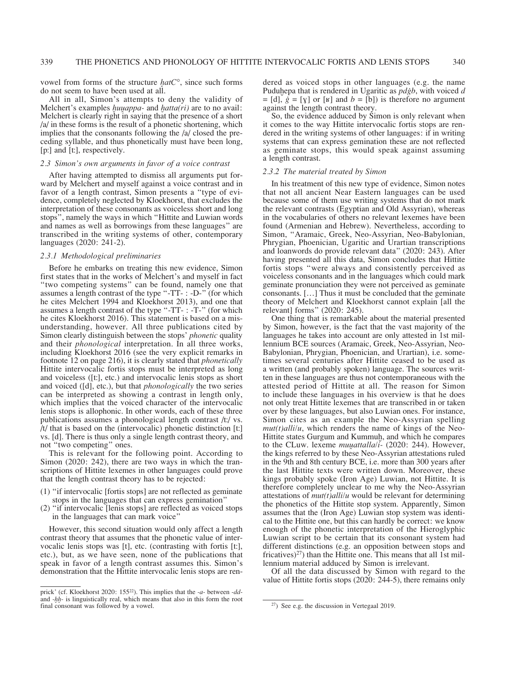vowel from forms of the structure *ḫatC°*, since such forms do not seem to have been used at all.

All in all, Simon's attempts to deny the validity of Melchert's examples *ḫuuappa-* and *ḫatta(ri)* are to no avail: Melchert is clearly right in saying that the presence of a short /a/ in these forms is the result of a phonetic shortening, which implies that the consonants following the /a/ closed the preceding syllable, and thus phonetically must have been long, [p:] and [t:], respectively.

# *2.3 Simon's own arguments in favor of a voice contrast*

After having attempted to dismiss all arguments put forward by Melchert and myself against a voice contrast and in favor of a length contrast, Simon presents a "type of evidence, completely neglected by Kloekhorst, that excludes the interpretation of these consonants as voiceless short and long stops", namely the ways in which "Hittite and Luwian words and names as well as borrowings from these languages" are transcribed in the writing systems of other, contemporary languages (2020: 241-2).

## *2.3.1 Methodological preliminaries*

Before he embarks on treating this new evidence, Simon first states that in the works of Melchert's and myself in fact "two competing systems" can be found, namely one that assumes a length contrast of the type "-TT- : -D-" (for which he cites Melchert 1994 and Kloekhorst 2013), and one that assumes a length contrast of the type "-TT- : -T-" (for which he cites Kloekhorst 2016). This statement is based on a misunderstanding, however. All three publications cited by Simon clearly distinguish between the stops' *phonetic* quality and their *phonological* interpretation. In all three works, including Kloekhorst 2016 (see the very explicit remarks in footnote 12 on page 216), it is clearly stated that *phonetically* Hittite intervocalic fortis stops must be interpreted as long and voiceless ([tː], etc.) and intervocalic lenis stops as short and voiced ([d], etc.), but that *phonologically* the two series can be interpreted as showing a contrast in length only, which implies that the voiced character of the intervocalic lenis stops is allophonic. In other words, each of these three publications assumes a phonological length contrast /tː/ vs. /t/ that is based on the (intervocalic) phonetic distinction [tː] vs. [d]. There is thus only a single length contrast theory, and not "two competing" ones.

This is relevant for the following point. According to Simon (2020: 242), there are two ways in which the transcriptions of Hittite lexemes in other languages could prove that the length contrast theory has to be rejected:

- (1) "if intervocalic [fortis stops] are not reflected as geminate stops in the languages that can express gemination"
- (2) "if intervocalic [lenis stops] are reflected as voiced stops in the languages that can mark voice"

However, this second situation would only affect a length contrast theory that assumes that the phonetic value of intervocalic lenis stops was [t], etc. (contrasting with fortis [tː], etc.), but, as we have seen, none of the publications that speak in favor of a length contrast assumes this. Simon's demonstration that the Hittite intervocalic lenis stops are rendered as voiced stops in other languages (e.g. the name Puduḫepa that is rendered in Ugaritic as *pdġb*, with voiced *d*  $=[d], \dot{g} = [y]$  or [ʁ] and  $b = [b]$ ) is therefore no argument against the length contrast theory.

So, the evidence adduced by Simon is only relevant when it comes to the way Hittite intervocalic fortis stops are rendered in the writing systems of other languages: if in writing systems that can express gemination these are not reflected as geminate stops, this would speak against assuming a length contrast.

#### *2.3.2 The material treated by Simon*

In his treatment of this new type of evidence, Simon notes that not all ancient Near Eastern languages can be used because some of them use writing systems that do not mark the relevant contrasts (Egyptian and Old Assyrian), whereas in the vocabularies of others no relevant lexemes have been found (Armenian and Hebrew). Nevertheless, according to Simon, "Aramaic, Greek, Neo-Assyrian, Neo-Babylonian, Phrygian, Phoenician, Ugaritic and Urartian transcriptions and loanwords do provide relevant data" (2020: 243). After having presented all this data, Simon concludes that Hittite fortis stops "were always and consistently perceived as voiceless consonants and in the languages which could mark geminate pronunciation they were not perceived as geminate consonants. […] Thus it must be concluded that the geminate theory of Melchert and Kloekhorst cannot explain [all the relevant] forms" (2020: 245).

One thing that is remarkable about the material presented by Simon, however, is the fact that the vast majority of the languages he takes into account are only attested in 1st millennium BCE sources (Aramaic, Greek, Neo-Assyrian, Neo-Babylonian, Phrygian, Phoenician, and Urartian), i.e. sometimes several centuries after Hittite ceased to be used as a written (and probably spoken) language. The sources written in these languages are thus not contemporaneous with the attested period of Hittite at all. The reason for Simon to include these languages in his overview is that he does not only treat Hittite lexemes that are transcribed in or taken over by these languages, but also Luwian ones. For instance, Simon cites as an example the Neo-Assyrian spelling  $mut(t)$ *alli/u*, which renders the name of kings of the Neo-Hittite states Gurgum and Kummuh, and which he compares to the CLuw. lexeme *muuattalla/i-* (2020: 244). However, the kings referred to by these Neo-Assyrian attestations ruled in the 9th and 8th century BCE, i.e. more than 300 years after the last Hittite texts were written down. Moreover, these kings probably spoke (Iron Age) Luwian, not Hittite. It is therefore completely unclear to me why the Neo-Assyrian attestations of *mut(t)alli/u* would be relevant for determining the phonetics of the Hittite stop system. Apparently, Simon assumes that the (Iron Age) Luwian stop system was identical to the Hittite one, but this can hardly be correct: we know enough of the phonetic interpretation of the Hieroglyphic Luwian script to be certain that its consonant system had different distinctions (e.g. an opposition between stops and fricatives) $^{27}$ ) than the Hittite one. This means that all 1st millennium material adduced by Simon is irrelevant.

Of all the data discussed by Simon with regard to the value of Hittite fortis stops (2020: 244-5), there remains only

prick' (cf. Kloekhorst 2020: 15522). This implies that the *-a-* between *-dd*and *-hh*- is linguistically real, which means that also in this form the root final consonant was followed by a vowel.

 $27$ ) See e.g. the discussion in Vertegaal 2019.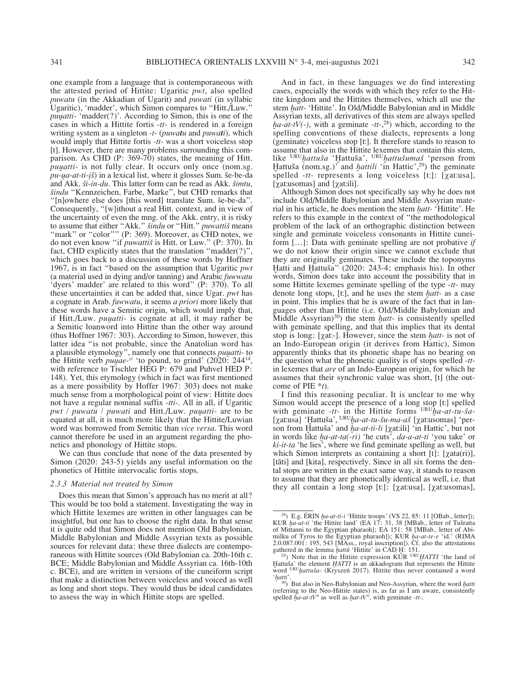one example from a language that is contemporaneous with the attested period of Hittite: Ugaritic *pwt*, also spelled *puwatu* (in the Akkadian of Ugarit) and *puwati* (in syllabic Ugaritic), 'madder', which Simon compares to "Hitt./Luw." *puuatti-* 'madder(?)'. According to Simon, this is one of the cases in which a Hittite fortis *-tt-* is rendered in a foreign writing system as a singleton *-t-* (*puwatu* and *puwati*), which would imply that Hittite fortis *-tt-* was a short voiceless stop [t]. However, there are many problems surrounding this comparison. As CHD (P: 369-70) states, the meaning of Hitt. *puuatti-* is not fully clear. It occurs only once (nom.sg. *pu-ua-at-ti-ịš*) in a lexical list, where it glosses Sum. še-be-da and Akk. *ši-in-du*. This latter form can be read as Akk. *šimtu*, *šindu* "Kennzeichen, Farbe, Marke", but CHD remarks that "[n]owhere else does [this word] translate Sum. še-be-da". Consequently, "[w]ithout a real Hitt. context, and in view of the uncertainty of even the mng. of the Akk. entry, it is risky to assume that either "Akk." *šindu* or "Hitt." *puwattiš* means "mark" or "color"" (P: 369). Moreover, as CHD notes, we do not even know "if *puwattiš* is Hitt. or Luw." (P: 370). In fact, CHD explicitly states that the translation "madder(?)", which goes back to a discussion of these words by Hoffner 1967, is in fact "based on the assumption that Ugaritic *pwt* (a material used in dying and/or tanning) and Arabic *fuwwatu* 'dyers' madder' are related to this word" (P: 370). To all these uncertainties it can be added that, since Ugar. *pwt* has a cognate in Arab. *fuwwatu*, it seems *a priori* more likely that these words have a Semitic origin, which would imply that, if Hitt./Luw. *puuatti-* is cognate at all, it may rather be a Semitic loanword into Hittite than the other way around (thus Hoffner 1967: 303). According to Simon, however, this latter idea "is not probable, since the Anatolian word has a plausible etymology", namely one that connects *puuatti-* to the Hittite verb *puuae-* $z_i$  'to pound, to grind' (2020: 244<sup>14</sup>, with reference to Tischler HEG P: 679 and Puhvel HED P: 148). Yet, this etymology (which in fact was first mentioned as a mere possibility by Hoffer 1967: 303) does not make much sense from a morphological point of view: Hittite does not have a regular nominal suffix *-tti-*. All in all, if Ugaritic *pwt / puwatu / puwati* and Hitt./Luw. *puuatti-* are to be equated at all, it is much more likely that the Hittite/Luwian word was borrowed from Semitic than *vice versa*. This word

netics and phonology of Hittite stops. We can thus conclude that none of the data presented by Simon (2020: 243-5) yields any useful information on the phonetics of Hittite intervocalic fortis stops.

cannot therefore be used in an argument regarding the pho-

## *2.3.3 Material not treated by Simon*

Does this mean that Simon's approach has no merit at all? This would be too bold a statement. Investigating the way in which Hittite lexemes are written in other languages can be insightful, but one has to choose the right data. In that sense it is quite odd that Simon does not mention Old Babylonian, Middle Babylonian and Middle Assyrian texts as possible sources for relevant data: these three dialects are contemporaneous with Hittite sources (Old Babylonian ca. 20th-16th c. BCE; Middle Babylonian and Middle Assyrian ca. 16th-10th c. BCE), and are written in versions of the cuneiform script that make a distinction between voiceless and voiced as well as long and short stops. They would thus be ideal candidates to assess the way in which Hittite stops are spelled.

And in fact, in these languages we do find interesting cases, especially the words with which they refer to the Hittite kingdom and the Hittites themselves, which all use the stem *ḫatt-* 'Hittite'. In Old/Middle Babylonian and in Middle Assyrian texts, all derivatives of this stem are always spelled *ḫa-at-tV(-)*, with a geminate *-tt-*, 28) which, according to the spelling conventions of these dialects, represents a long (geminate) voiceless stop [tː]. It therefore stands to reason to assume that also in the Hittite lexemes that contain this stem, like URU*ḫattuša* 'Ḫattuša', URU*ḫattušumaš* 'person from Hattuša (nom.sg.)<sup>'</sup> and *hattili* 'in Hattic',<sup>29</sup>) the geminate spelled *-tt-* represents a long voiceless [tː]: [χatːusa], [χatːusomas] and [χatːili].

Although Simon does not specifically say why he does not include Old/Middle Babylonian and Middle Assyrian material in his article, he does mention the stem *ḫatt-* 'Hittite'. He refers to this example in the context of "the methodological problem of the lack of an orthographic distinction between single and geminate voiceless consonants in Hittite cuneiform […]: Data with geminate spelling are not probative *if* we do not know their origin since we cannot exclude that they are originally geminates. These include the toponyms Ḫatti and Ḫattuša" (2020: 243-4; emphasis his). In other words, Simon does take into account the possibility that in some Hittite lexemes geminate spelling of the type *-tt-* may denote long stops, [tː], and he uses the stem *ḫatt-* as a case in point. This implies that he is aware of the fact that in languages other than Hittite (i.e. Old/Middle Babylonian and Middle Assyrian)<sup>30</sup>) the stem *hatt*- is consistently spelled with geminate spelling, and that this implies that its dental stop is long: [χatː-]. However, since the stem *ḫatt-* is not of an Indo-European origin (it derives from Hattic), Simon apparently thinks that its phonetic shape has no bearing on the question what the phonetic quality is of stops spelled *-tt*in lexemes that *are* of an Indo-European origin, for which he assumes that their synchronic value was short, [t] (the outcome of PIE \**t*).

I find this reasoning peculiar. It is unclear to me why Simon would accept the presence of a long stop [tː] spelled with geminate *-tt-* in the Hittite forms URU*ḫa-at-tu-ša-* [χatːusa] 'Ḫattuša', URU*ḫa-at-tu-šu-ma-aš* [χatːusomas] 'person from Hattuša' and *ha-at-ti-li* [χatːili] 'in Hattic', but not in words like *ḫa-at-ta(-ri)* 'he cuts', *da-a-at-ti* 'you take' or *ki-it-ta* 'he lies', where we find geminate spelling as well, but which Simon interprets as containing a short  $[t]$ : [ $\chi$ ata $(ri)$ ], [tāti] and [kita], respectively. Since in all six forms the dental stops are written in the exact same way, it stands to reason to assume that they are phonetically identical as well, i.e. that they all contain a long stop [tː]: [χatːusa], [χatːusomas],

<sup>28)</sup> E.g. ÉRIN *ḫa-at-ti-i* 'Hittite troops' (VS 22, 85: 11 [OBab., letter]); KUR *ḫa-at-ti* 'the Hittite land' (EA 17: 31, 38 [MBab., letter of Tušratta of Mittanni to the Egyptian pharaoh]; EA 151: 58 [MBab., letter of Abimilku of Tyros to the Egyptian pharaoh]); KUR *ḫa-at-te-e* 'id.' (RIMA 2.0.087.001: 195, 543 [MAss., royal inscription]). Cf. also the attestations 2.0.007.001. 155, 345 [WESS., 193al inscription]). C.I. also the attestations gathered in the lemma *hattû* 'Hittite' in CAD H: 151.<br><sup>29</sup>) Note that in the Hittite expression KUR <sup>URU</sup>*HATTI* 'the land of

Hattuša' the element *HATTI* is an akkadogram that represents the Hittite word <sup>URU</sup>*hattuša*- (Kryszeń 2017). Hittite thus never contained a word 'hatti'.

<sup>&</sup>lt;sup>30</sup>) But also in Neo-Babylonian and Neo-Assyrian, where the word *hatti* (referring to the Neo-Hittite states) is, as far as I am aware, consistently spelled *ḫa-at-tV°* as well as *ḫat-tV°*, with geminate *-tt-*.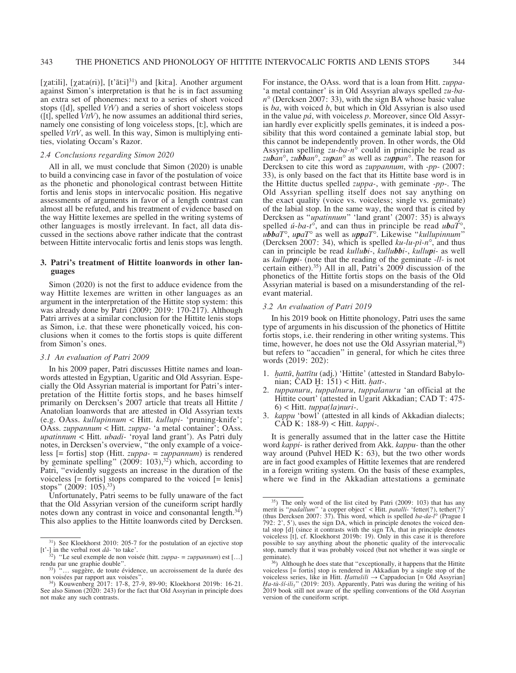[ $\chi$ atːili], [ $\chi$ atːa(ri)], [t' $\bar{a}$ tːi]<sup>31</sup>) and [kitːa]. Another argument against Simon's interpretation is that he is in fact assuming an extra set of phonemes: next to a series of short voiced stops ([d], spelled *VtV*) and a series of short voiceless stops ([t], spelled *VttV*), he now assumes an additional third series, namely one consisting of long voiceless stops, [tː], which are spelled *VttV*, as well. In this way, Simon is multiplying entities, violating Occam's Razor.

#### *2.4 Conclusions regarding Simon 2020*

All in all, we must conclude that Simon (2020) is unable to build a convincing case in favor of the postulation of voice as the phonetic and phonological contrast between Hittite fortis and lenis stops in intervocalic position. His negative assessments of arguments in favor of a length contrast can almost all be refuted, and his treatment of evidence based on the way Hittite lexemes are spelled in the writing systems of other languages is mostly irrelevant. In fact, all data discussed in the sections above rather indicate that the contrast between Hittite intervocalic fortis and lenis stops was length.

# **3. Patri's treatment of Hittite loanwords in other languages**

Simon (2020) is not the first to adduce evidence from the way Hittite lexemes are written in other languages as an argument in the interpretation of the Hittite stop system: this was already done by Patri (2009; 2019: 170-217). Although Patri arrives at a similar conclusion for the Hittite lenis stops as Simon, i.e. that these were phonetically voiced, his conclusions when it comes to the fortis stops is quite different from Simon's ones.

## *3.1 An evaluation of Patri 2009*

In his 2009 paper, Patri discusses Hittite names and loanwords attested in Egyptian, Ugaritic and Old Assyrian. Especially the Old Assyrian material is important for Patri's interpretation of the Hittite fortis stops, and he bases himself primarily on Dercksen's 2007 article that treats all Hittite / Anatolian loanwords that are attested in Old Assyrian texts (e.g. OAss. *kullupinnum* < Hitt. *kullupi-* 'pruning-knife'; OAss. *zuppannum* < Hitt. *zuppa-* 'a metal container'; OAss. *upatinnum* < Hitt. *ubadi-* 'royal land grant'). As Patri duly notes, in Dercksen's overview, "the only example of a voiceless [= fortis] stop (Hitt. *zuppa-* = *zuppannum*) is rendered by geminate spelling"  $(2009: 103),<sup>32</sup>$ ) which, according to Patri, "evidently suggests an increase in the duration of the voiceless [= fortis] stops compared to the voiced [= lenis] stops" (2009: 105).<sup>33</sup>)

Unfortunately, Patri seems to be fully unaware of the fact that the Old Assyrian version of the cuneiform script hardly notes down any contrast in voice and consonantal length.<sup>34</sup>) This also applies to the Hittite loanwords cited by Dercksen. For instance, the OAss. word that is a loan from Hitt. *zuppa-* 'a metal container' is in Old Assyrian always spelled *zu-ban°* (Dercksen 2007: 33), with the sign BA whose basic value is *ba*, with voiced *b*, but which in Old Assyrian is also used in the value *pá*, with voiceless *p*. Moreover, since Old Assyrian hardly ever explicitly spells geminates, it is indeed a possibility that this word contained a geminate labial stop, but this cannot be independently proven. In other words, the Old Assyrian spelling *zu-ba-n°* could in principle be read as *zuban°*, *zubban°*, *zupan°* as well as *zuppan°*. The reason for Dercksen to cite this word as *zuppannum*, with *-pp-* (2007: 33), is only based on the fact that its Hittite base word is in the Hittite ductus spelled *zuppa-*, with geminate *-pp-*. The Old Assyrian spelling itself does not say anything on the exact quality (voice vs. voiceless; single vs. geminate) of the labial stop. In the same way, the word that is cited by Dercksen as "*upatinnum*" 'land grant' (2007: 35) is always spelled *ú-ba-t°*, and can thus in principle be read *ubaT°*, *ubbaT°*, *upaT°* as well as *uppaT°*. Likewise "*kullupinnum*" (Dercksen 2007: 34), which is spelled *ku-lu-pì-n°*, and thus can in principle be read *kullubi-*, *kullubbi-*, *kullupi-* as well as *kulluppi-* (note that the reading of the geminate *-ll-* is not certain either).35) All in all, Patri's 2009 discussion of the phonetics of the Hittite fortis stops on the basis of the Old Assyrian material is based on a misunderstanding of the relevant material.

#### *3.2 An evaluation of Patri 2019*

In his 2019 book on Hittite phonology, Patri uses the same type of arguments in his discussion of the phonetics of Hittite fortis stops, i.e. their rendering in other writing systems. This time, however, he does not use the Old Assyrian material,  $36$ ) but refers to "accadien" in general, for which he cites three words (2019: 202):

- 1. *ḫattū*, *ḫattītu* (adj.) 'Hittite' (attested in Standard Babylonian; CAD Ḫ: 151) < Hitt. *ḫatt-*.
- 2. *tuppanuru*, *tuppalnuru*, *tuppalanuru* 'an official at the Hittite court' (attested in Ugarit Akkadian; CAD T: 475- 6) < Hitt. *tuppa(la)nuri-*.
- 3. *kappu* 'bowl' (attested in all kinds of Akkadian dialects; CAD K: 188-9) < Hitt. *kappi-*.

It is generally assumed that in the latter case the Hittite word *kappi-* is rather derived from Akk. *kappu-* than the other way around (Puhvel HED K: 63), but the two other words are in fact good examples of Hittite lexemes that are rendered in a foreign writing system. On the basis of these examples, where we find in the Akkadian attestations a geminate

<sup>31)</sup> See Kloekhorst 2010: 205-7 for the postulation of an ejective stop

<sup>[</sup>t'-] in the verbal root *da*- 'to take'.  $\frac{32}{1}$  "Le seul exemple de non voisée (hitt. *zuppa- = zuppannum*) est [...] rendu par une graphie double". rendu par une graphie double".<br><sup>33</sup>) "… suggère, de toute évidence, un accroissement de la durée des

non voisées par rapport aux voisées".<br><sup>34</sup>) Kouwenberg 2017: 17-8, 27-9, 89-90; Kloekhorst 2019b: 16-21.

See also Simon (2020: 243) for the fact that Old Assyrian in principle does not make any such contrasts.

<sup>35)</sup> The only word of the list cited by Patri (2009: 103) that has any merit is "*padallum*" 'a copper object' < Hitt. *patalli-* 'fetter(?), tether(?)' (thus Dercksen 2007: 37). This word, which is spelled *ba-da-l°* (Prague I 792: 2', 5'), uses the sign DA, which in principle denotes the voiced dental stop [d] (since it contrasts with the sign TA, that in principle denotes voiceless [t], cf. Kloekhorst 2019b: 19). Only in this case it is therefore possible to say anything about the phonetic quality of the intervocalic stop, namely that it was probably voiced (but not whether it was single or

 $^{36}$ ) Although he does state that "exceptionally, it happens that the Hittite voiceless [= fortis] stop is rendered in Akkadian by a single stop of the voiceless series, like in Hitt. *Ḫattušili* → Cappadocian [= Old Assyrian] *Ḫa-tù-ší-ili5*" (2019: 203). Apparently, Patri was during the writing of his 2019 book still not aware of the spelling conventions of the Old Assyrian version of the cuneiform script.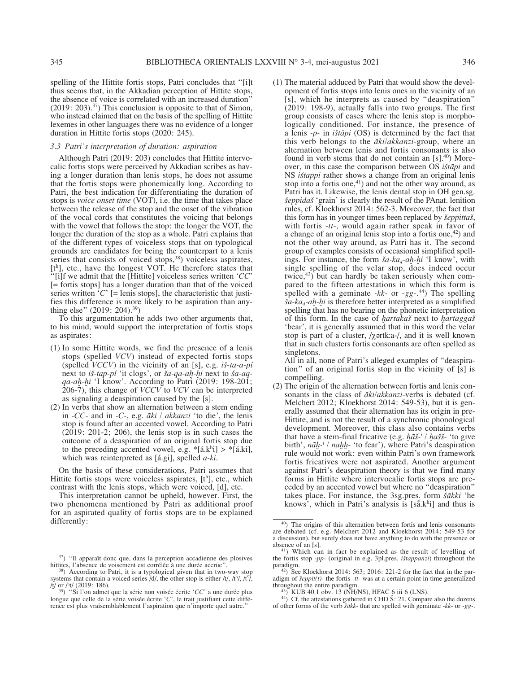spelling of the Hittite fortis stops, Patri concludes that "[i]t thus seems that, in the Akkadian perception of Hittite stops, the absence of voice is correlated with an increased duration"  $(2019: 203).<sup>37</sup>$ ) This conclusion is opposite to that of Simon, who instead claimed that on the basis of the spelling of Hittite lexemes in other languages there was no evidence of a longer duration in Hittite fortis stops (2020: 245).

## *3.3 Patri's interpretation of duration: aspiration*

Although Patri (2019: 203) concludes that Hittite intervocalic fortis stops were perceived by Akkadian scribes as having a longer duration than lenis stops, he does not assume that the fortis stops were phonemically long. According to Patri, the best indication for differentiating the duration of stops is *voice onset time* (VOT), i.e. the time that takes place between the release of the stop and the onset of the vibration of the vocal cords that constitutes the voicing that belongs with the vowel that follows the stop: the longer the VOT, the longer the duration of the stop as a whole. Patri explains that of the different types of voiceless stops that on typological grounds are candidates for being the counterpart to a lenis series that consists of voiced stops, $38$ ) voiceless aspirates, [th], etc., have the longest VOT. He therefore states that "[i]f we admit that the [Hittite] voiceless series written '*CC*' [= fortis stops] has a longer duration than that of the voiced series written  $\hat{C}$  [= lenis stops], the characteristic that justifies this difference is more likely to be aspiration than anything else" (2019: 204).39)

To this argumentation he adds two other arguments that, to his mind, would support the interpretation of fortis stops as aspirates:

- (1) In some Hittite words, we find the presence of a lenis stops (spelled *VCV*) instead of expected fortis stops (spelled *VCCV*) in the vicinity of an [s], e.g. *iš-ta-a-pí* next to *iš-tap-pí* 'it clogs', or *ša-qa-aḫ-ḫi* next to *ša-aqqa-aḫ-ḫi* 'I know'. According to Patri (2019: 198-201; 206-7), this change of *VCCV* to *VCV* can be interpreted as signaling a deaspiration caused by the [s].
- (2) In verbs that show an alternation between a stem ending in *-CC-* and in *-C-*, e.g. *āki / akkanzi* 'to die', the lenis stop is found after an accented vowel. According to Patri (2019: 201-2; 206), the lenis stop is in such cases the outcome of a deaspiration of an original fortis stop due to the preceding accented vowel, e.g.  $*(\hat{a}.k^{\hat{h}}) > *[\hat{a}.ki],$ which was reinterpreted as [á.gi], spelled *a-ki*.

On the basis of these considerations, Patri assumes that Hittite fortis stops were voiceless aspirates,  $[t^h]$ , etc., which contrast with the lenis stops, which were voiced, [d], etc.

This interpretation cannot be upheld, however. First, the two phenomena mentioned by Patri as additional proof for an aspirated quality of fortis stops are to be explained differently:

(1) The material adduced by Patri that would show the development of fortis stops into lenis ones in the vicinity of an [s], which he interprets as caused by "deaspiration" (2019: 198-9), actually falls into two groups. The first group consists of cases where the lenis stop is morphologically conditioned. For instance, the presence of a lenis *-p-* in *ištāpi* (OS) is determined by the fact that this verb belongs to the *āki/akkanzi-*group, where an alternation between lenis and fortis consonants is also found in verb stems that do not contain an  $[s]^{(40)}$ . Moreover, in this case the comparison between OS *ištāpi* and NS *ištappi* rather shows a change from an original lenis stop into a fortis one, $41$ ) and not the other way around, as Patri has it. Likewise, the lenis dental stop in OH gen.sg. *šeppidaš* 'grain' is clearly the result of the PAnat. lenition rules, cf. Kloekhorst 2014: 562-3. Moreover, the fact that this form has in younger times been replaced by *šeppittaš*, with fortis *-tt-*, would again rather speak in favor of a change of an original lenis stop into a fortis one, $42$ ) and not the other way around, as Patri has it. The second group of examples consists of occasional simplified spellings. For instance, the form  $\check{a}$ -ka<sub>4</sub>-ah-hi 'I know', with single spelling of the velar stop, does indeed occur twice, $43$ ) but can hardly be taken seriously when compared to the fifteen attestations in which this form is spelled with a geminate *-kk-* or *-gg-*. 44) The spelling *ša-ka4-aḫ-ḫi* is therefore better interpreted as a simplified spelling that has no bearing on the phonetic interpretation of this form. In the case of *ḫartakaš* next to *ḫartaggaš* 'bear', it is generally assumed that in this word the velar stop is part of a cluster, /χərtkːa-/, and it is well known that in such clusters fortis consonants are often spelled as singletons.

All in all, none of Patri's alleged examples of "deaspiration" of an original fortis stop in the vicinity of [s] is compelling.

(2) The origin of the alternation between fortis and lenis consonants in the class of *āki/akkanzi-*verbs is debated (cf. Melchert 2012; Kloekhorst 2014: 549-53), but it is generally assumed that their alternation has its origin in pre-Hittite, and is not the result of a synchronic phonological development. Moreover, this class also contains verbs that have a stem-final fricative (e.g. *ḫāš-i / ḫašš-* 'to give birth',  $n\bar{a}h^{-i}/nahh$ - 'to fear'), where Patri's deaspiration rule would not work: even within Patri's own framework fortis fricatives were not aspirated. Another argument against Patri's deaspiration theory is that we find many forms in Hittite where intervocalic fortis stops are preceded by an accented vowel but where no "deaspiration" takes place. For instance, the 3sg.pres. form *šākki* 'he knows', which in Patri's analysis is  $[s\tilde{a}.k^h i]$  and thus is

 $37)$  "Il apparaît donc que, dans la perception accadienne des plosives hittites, l'absence de voisement est corrélée à une durée accrue".

<sup>&</sup>lt;sup>38</sup>) According to Patri, it is a typological given that in two-way stop systems that contain a voiced series  $/d/$ , the other stop is either  $/t/$ ,  $/t<sup>5</sup>/$ ,  $/t<sup>5</sup>/$ , /t/ or  $/nt/$  (2019: 186). t/ (2019: 186). 39) "Si l'on admet que la série non voisée écrite '*CC*' a une durée plus

longue que celle de la série voisée écrite '*C*', le trait justifiant cette différence est plus vraisemblablement l'aspiration que n'importe quel autre."

<sup>40)</sup> The origins of this alternation between fortis and lenis consonants are debated (cf. e.g. Melchert 2012 and Kloekhorst 2014: 549-53 for a discussion), but surely does not have anything to do with the presence or

 $41)$  Which can in fact be explained as the result of levelling of the fortis stop *-pp-* (original in e.g. 3pl.pres. *ištappanzi*) throughout the

 $p^{42}$ ) See Kloekhorst 2014: 563; 2016: 221-2 for the fact that in the paradigm of *šeppit(t)-* the fortis *-tt-* was at a certain point in time generalized

<sup>43)</sup> KUB 40.1 obv. 13 (NH/NS), HFAC 6 iii 6 (LNS).<br><sup>44</sup>) Cf. the attestations gathered in CHD Š: 21. Compare also the dozens of other forms of the verb *šākk-* that are spelled with geminate *-kk-* or *-gg-*.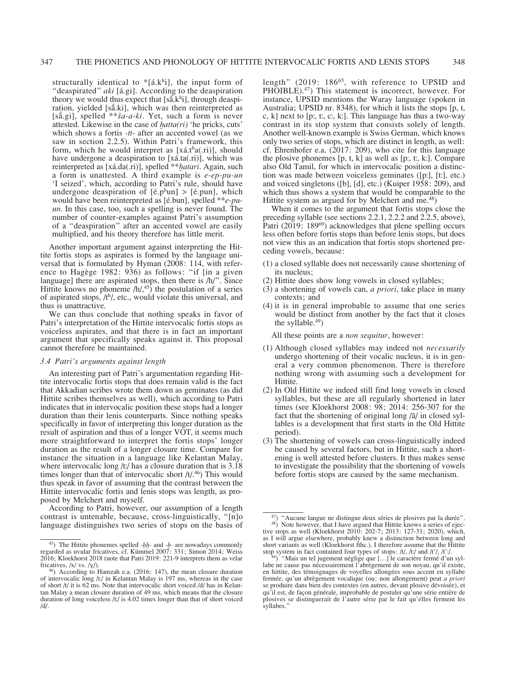structurally identical to  $\frac{1}{4}$ [a], the input form of "deaspirated" *aki* [á.gi]. According to the deaspiration theory we would thus expect that  $[s\tilde{a}.k^h i]$ , through deaspiration, yielded [saki], which was then reinterpreted as [sā.gi], spelled \*\**ša-a-ki*. Yet, such a form is never attested. Likewise in the case of *ḫatta(ri)* 'he pricks, cuts' which shows a fortis *-tt-* after an accented vowel (as we saw in section 2.2.5). Within Patri's framework, this form, which he would interpret as  $[x \land (x \land x)]$ , should have undergone a deaspiration to [xá.ta(.ri)], which was reinterpreted as [xá.da(.ri)], spelled \*\**ḫatari*. Again, such a form is unattested. A third example is *e-ep-pu-un* 'I seized', which, according to Patri's rule, should have undergone deaspiration of  $[\text{\textsterling}.p^{\text{h}}un] > [\text{\textsterling}.p^{\text{h}}un]$ , which would have been reinterpreted as [é.bun], spelled \*\**e-puun*. In this case, too, such a spelling is never found. The number of counter-examples against Patri's assumption of a "deaspiration" after an accented vowel are easily multiplied, and his theory therefore has little merit.

Another important argument against interpreting the Hittite fortis stops as aspirates is formed by the language universal that is formulated by Hyman (2008: 114, with reference to Hagège 1982: 936) as follows: "if [in a given language] there are aspirated stops, then there is /h/". Since Hittite knows no phoneme  $/h/$ ,<sup>45</sup>) the postulation of a series of aspirated stops,  $/t<sup>h</sup>/$ , etc., would violate this universal, and thus is unattractive.

We can thus conclude that nothing speaks in favor of Patri's interpretation of the Hittite intervocalic fortis stops as voiceless aspirates, and that there is in fact an important argument that specifically speaks against it. This proposal cannot therefore be maintained.

# *3.4 Patri's arguments against length*

An interesting part of Patri's argumentation regarding Hittite intervocalic fortis stops that does remain valid is the fact that Akkadian scribes wrote them down as geminates (as did Hittite scribes themselves as well), which according to Patri indicates that in intervocalic position these stops had a longer duration than their lenis counterparts. Since nothing speaks specifically in favor of interpreting this longer duration as the result of aspiration and thus of a longer VOT, it seems much more straightforward to interpret the fortis stops' longer duration as the result of a longer closure time. Compare for instance the situation in a language like Kelantan Malay, where intervocalic long /tː/ has a closure duration that is 3.18 times longer than that of intervocalic short  $/t/-$ <sup>46</sup>) This would thus speak in favor of assuming that the contrast between the Hittite intervocalic fortis and lenis stops was length, as proposed by Melchert and myself.

According to Patri, however, our assumption of a length contrast is untenable, because, cross-linguistically, "[n]o language distinguishes two series of stops on the basis of length" (2019: 186<sup>65</sup>, with reference to UPSID and PHOIBLE).<sup>47</sup>) This statement is incorrect, however. For instance, UPSID mentions the Waray language (spoken in Australia; UPSID nr. 8348), for which it lists the stops [p, t, c, k] next to [p:, t:, c:, k:]. This language has thus a two-way contrast in its stop system that consists solely of length. Another well-known example is Swiss German, which knows only two series of stops, which are distinct in length, as well: cf. Ehrenhofer e.a.  $(2017: 209)$ , who cite for this language the plosive phonemes  $[p, t, k]$  as well as  $[p, t, k]$ . Compare also Old Tamil, for which in intervocalic position a distinction was made between voiceless geminates ([pː], [tː], etc.) and voiced singletons ([b], [d], etc.) (Kuiper 1958: 209), and which thus shows a system that would be comparable to the Hittite system as argued for by Melchert and me.<sup>48</sup>)

When it comes to the argument that fortis stops close the preceding syllable (see sections 2.2.1, 2.2.2 and 2.2.5, above), Patri (2019: 189<sup>69</sup>) acknowledges that plene spelling occurs less often before fortis stops than before lenis stops, but does not view this as an indication that fortis stops shortened preceding vowels, because:

- (1) a closed syllable does not necessarily cause shortening of its nucleus;
- (2) Hittite does show long vowels in closed syllables;
- (3) a shortening of vowels can, *a priori*, take place in many contexts; and
- (4) it is in general improbable to assume that one series would be distinct from another by the fact that it closes the syllable. $49$ )

All these points are a *non sequitur*, however:

- (1) Although closed syllables may indeed not *necessarily* undergo shortening of their vocalic nucleus, it is in general a very common phenomenon. There is therefore nothing wrong with assuming such a development for Hittite.
- (2) In Old Hittite we indeed still find long vowels in closed syllables, but these are all regularly shortened in later times (see Kloekhorst 2008: 98; 2014: 256-307 for the fact that the shortening of original long /ā/ in closed syllables is a development that first starts in the Old Hittite period).
- (3) The shortening of vowels can cross-linguistically indeed be caused by several factors, but in Hittite, such a shortening is well attested before clusters. It thus makes sense to investigate the possibility that the shortening of vowels before fortis stops are caused by the same mechanism.

<sup>45)</sup> The Hittite phonemes spelled *-ḫḫ-* and *-ḫ-* are nowadays commonly regarded as uvular fricatives, cf. Kümmel 2007: 331; Simon 2014; Weiss 2016; Kloekhorst 2018 (note that Patri 2019: 221-9 interprets them as velar fricatives,  $/x / ys$ .  $/y /$ ).

 $46$ ) According to Hamzah e.a. (2016: 147), the mean closure duration of intervocalic long /tː/ in Kelantan Malay is 197 ms, whereas in the case of short /t/ it is 62 ms. Note that intervocalic short voiced /d/ has in Kelantan Malay a mean closure duration of 49 ms, which means that the closure duration of long voiceless /tː/ is 4.02 times longer than that of short voiced /d/.

<sup>&</sup>lt;sup>47</sup>) "Aucune langue ne distingue deux séries de plosives par la durée".<br><sup>48</sup>) Note however, that I have argued that Hittite knows a series of ejective stops as well (Kloekhorst 2010: 202-7; 2013: 127-31; 2020), which, as I will argue elsewhere, probably knew a distinction between long and short variants as well (Kloekhorst fthc.). I therefore assume that the Hittite

stop system in fact contained four types of stops: /t/, /tː/ and /t<sup>ː</sup>/, /tː<sup>/</sup>.<br><sup>49</sup>) "Mais un tel jugement néglige que [...] le caractère fermé d'un syllabe ne cause pas nécessairement l'abrègement de son noyau, qu'il existe, en hittite, des témoignages de voyelles allongées sous accent en syllabe fermée, qu'un abrègement vocalique (ou: non allongement) peut *a priori* se produire dans bien des contextes (en autres, devant plosive dévoisée), et qu'il est, de façon générale, improbable de postuler qu'une série entière de plosives se distinguerait de l'autre série par le fait qu'elles ferment les syllabes."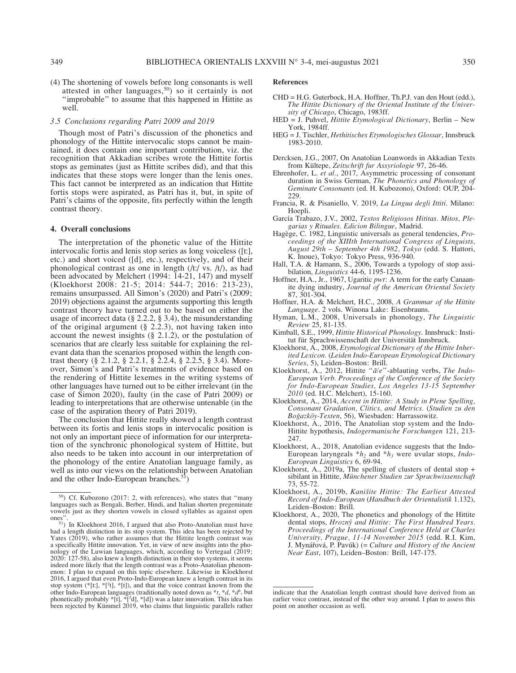(4) The shortening of vowels before long consonants is well attested in other languages,50) so it certainly is not "improbable" to assume that this happened in Hittite as well.

## *3.5 Conclusions regarding Patri 2009 and 2019*

Though most of Patri's discussion of the phonetics and phonology of the Hittite intervocalic stops cannot be maintained, it does contain one important contribution, viz. the recognition that Akkadian scribes wrote the Hittite fortis stops as geminates (just as Hittite scribes did), and that this indicates that these stops were longer than the lenis ones. This fact cannot be interpreted as an indication that Hittite fortis stops were aspirated, as Patri has it, but, in spite of Patri's claims of the opposite, fits perfectly within the length contrast theory.

# **4. Overall conclusions**

The interpretation of the phonetic value of the Hittite intervocalic fortis and lenis stop series as long voiceless ([tː], etc.) and short voiced ([d], etc.), respectively, and of their phonological contrast as one in length (/tː/ vs. /t/), as had been advocated by Melchert (1994: 14-21, 147) and myself (Kloekhorst 2008: 21-5; 2014: 544-7; 2016: 213-23), remains unsurpassed. All Simon's (2020) and Patri's (2009; 2019) objections against the arguments supporting this length contrast theory have turned out to be based on either the usage of incorrect data ( $\S$  2.2.2,  $\S$  3.4), the misunderstanding of the original argument (§ 2.2.3), not having taken into account the newest insights (§ 2.1.2), or the postulation of scenarios that are clearly less suitable for explaining the relevant data than the scenarios proposed within the length contrast theory (§ 2.1.2, § 2.2.1, § 2.2.4, § 2.2.5, § 3.4). Moreover, Simon's and Patri's treatments of evidence based on the rendering of Hittite lexemes in the writing systems of other languages have turned out to be either irrelevant (in the case of Simon 2020), faulty (in the case of Patri 2009) or leading to interpretations that are otherwise untenable (in the case of the aspiration theory of Patri 2019).

The conclusion that Hittite really showed a length contrast between its fortis and lenis stops in intervocalic position is not only an important piece of information for our interpretation of the synchronic phonological system of Hittite, but also needs to be taken into account in our interpretation of the phonology of the entire Anatolian language family, as well as into our views on the relationship between Anatolian and the other Indo-European branches.<sup>51</sup>)

#### **References**

- CHD = H.G. Guterbock, H.A. Hoffner, Th.P.J. van den Hout (edd.), *The Hittite Dictionary of the Oriental Institute of the University of Chicago*, Chicago, 1983ff.
- HED = J. Puhvel, *Hittite Etymological Dictionary*, Berlin New York, 1984ff.
- HEG = J. Tischler, *Hethitisches Etymologisches Glossar*, Innsbruck 1983-2010.
- Dercksen, J.G., 2007, On Anatolian Loanwords in Akkadian Texts from Kültepe, *Zeitschrift fur Assyriologie* 97, 26-46.
- Ehrenhofer, L. *et al.*, 2017, Asymmetric processing of consonant duration in Swiss German, *The Phonetics and Phonology of Geminate Consonants* (ed. H. Kubozono), Oxford: OUP, 204- 229.
- Francia, R. & Pisaniello, V. 2019, *La Lingua degli Ittiti*. Milano: Hoepli.
- García Trabazo, J.V., 2002, *Textos Religiosos Hititas. Mitos, Plegarias y Rituales. Edicion Bilingue*, Madrid.
- Hagège, C. 1982, Linguistic universals as general tendencies, *Proceedings of the XIIIth International Congress of Linguists, August 29th – September 4th 1982, Tokyo* (edd. S. Hattori, K. Inoue), Tokyo: Tokyo Press, 936-940.
- Hall, T.A. & Hamann, S., 2006, Towards a typology of stop assibilation, *Linguistics* 44-6, 1195-1236.
- Hoffner, H.A., Jr., 1967, Ugaritic *pwt*: A term for the early Canaanite dying industry, *Journal of the American Oriental Society* 87, 301-304.
- Hoffner, H.A. & Melchert, H.C., 2008, *A Grammar of the Hittite Language*. 2 vols. Winona Lake: Eisenbrauns.
- Hyman, L.M., 2008, Universals in phonology, *The Linguistic Review* 25, 81-135.
- Kimball, S.E., 1999, *Hittite Historical Phonology*. Innsbruck: Institut für Sprachwissenschaft der Universität Innsbruck.
- Kloekhorst, A., 2008, *Etymological Dictionary of the Hittite Inherited Lexicon.* (*Leiden Indo-European Etymological Dictionary Series*, 5), Leiden–Boston: Brill.
- Kloekhorst, A., 2012, Hittite "*ā/e*"-ablauting verbs, *The Indo-European Verb. Proceedings of the Conference of the Society for Indo-European Studies, Los Angeles 13-15 September 2010* (ed. H.C. Melchert), 15-160.
- Kloekhorst, A., 2014, *Accent in Hittite: A Study in Plene Spelling, Consonant Gradation, Clitics, and Metrics.* (*Studien zu den Boğazköy-Texten*, 56), Wiesbaden: Harrassowitz.
- Kloekhorst, A., 2016, The Anatolian stop system and the Indo-Hittite hypothesis, *Indogermanische Forschungen* 121, 213- 247.
- Kloekhorst, A., 2018, Anatolian evidence suggests that the Indo-European laryngeals  $*h_2$  and  $*h_3$  were uvular stops, *Indo-European Linguistics* 6, 69-94.
- Kloekhorst, A., 2019a, The spelling of clusters of dental stop + sibilant in Hittite, *Münchener Studien zur Sprachwissenschaft* 73, 55-72.
- Kloekhorst, A., 2019b, *Kanišite Hittite: The Earliest Attested Record of Indo-European* (*Handbuch der Orientalistik* 1.132), Leiden–Boston: Brill.
- Kloekhorst, A., 2020, The phonetics and phonology of the Hittite dental stops, *Hrozný and Hittite: The First Hundred Years. Proceedings of the International Conference Held at Charles University, Prague, 11-14 November 2015* (edd. R.I. Kim, J. Mynářová, P. Pavúk) (= *Culture and History of the Ancient Near East*, 107), Leiden–Boston: Brill, 147-175.

<sup>50)</sup> Cf. Kubozono (2017: 2, with references), who states that "many languages such as Bengali, Berber, Hindi, and Italian shorten pregeminate vowels just as they shorten vowels in closed syllables as against open

ones".<br><sup>51</sup>) In Kloekhorst 2016, I argued that also Proto-Anatolian must have<br>the idea has been rejected by had a length distinction in its stop system. This idea has been rejected by Yates  $(2019)$ , who rather assumes that the Hittite length contrast was a specifically Hittite innovation. Yet, in view of new insights into the phonology of the Luwian languages, which, according to Vertegaal (2019; 2020: 127-58), also knew a length distinction in their stop systems, it seems indeed more likely that the length contrast was a Proto-Anatolian phenomenon: I plan to expand on this topic elsewhere. Likewise in Kloekhorst 2016, I argued that even Proto-Indo-European knew a length contrast in its stop system  $(*[t], *[^{t}], *[t])$ , and that the voice contrast known from the other Indo-European languages (traditionally noted down as  $*t$ ,  $*d$ ,  $*d<sup>h</sup>$ , but phonetically probably  $*$ [t],  $*$ [<sup>2</sup>d],  $*$ [d]) was a later innovation. This idea has been rejected by Kümmel 2019, who claims that linguistic parallels rather

indicate that the Anatolian length contrast should have derived from an earlier voice contrast, instead of the other way around. I plan to assess this point on another occasion as well.